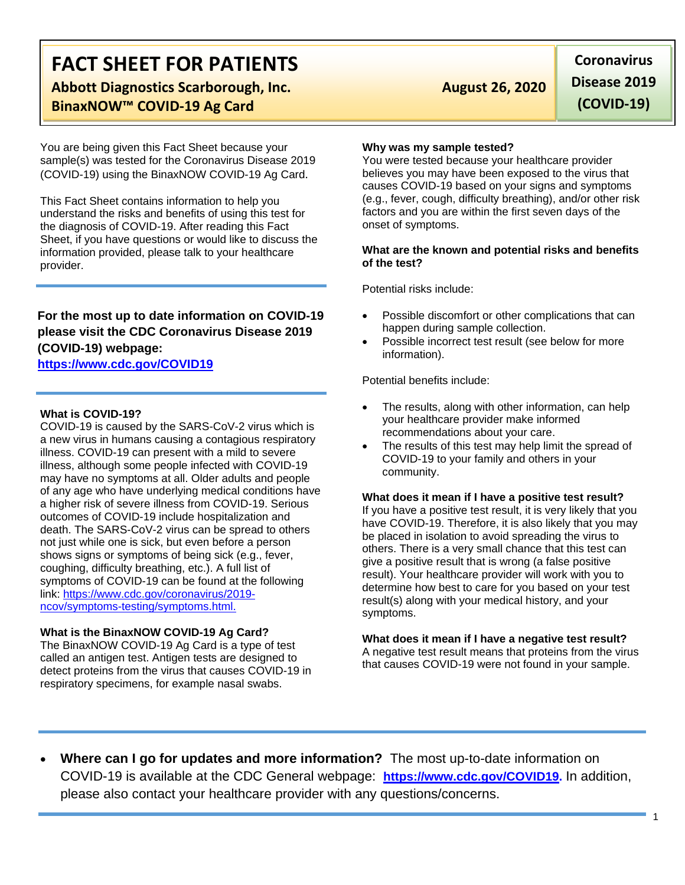# **FACT SHEET FOR PATIENTS**

**Abbott Diagnostics Scarborough, Inc. August 26, 2020 BinaxNOW™ COVID-19 Ag Card**

You are being given this Fact Sheet because your sample(s) was tested for the Coronavirus Disease 2019 (COVID-19) using the BinaxNOW COVID-19 Ag Card.

This Fact Sheet contains information to help you understand the risks and benefits of using this test for the diagnosis of COVID-19. After reading this Fact Sheet, if you have questions or would like to discuss the information provided, please talk to your healthcare provider.

### **For the most up to date information on COVID-19 please visit the CDC Coronavirus Disease 2019 (COVID-19) webpage:**

### **[https://www.cdc.gov/COVID19](https://www.cdc.gov/nCoV)**

#### **What is COVID-19?**

COVID-19 is caused by the SARS-CoV-2 virus which is a new virus in humans causing a contagious respiratory illness. COVID-19 can present with a mild to severe illness, although some people infected with COVID-19 may have no symptoms at all. Older adults and people of any age who have underlying medical conditions have a higher risk of severe illness from COVID-19. Serious outcomes of COVID-19 include hospitalization and death. The SARS-CoV-2 virus can be spread to others not just while one is sick, but even before a person shows signs or symptoms of being sick (e.g., fever, coughing, difficulty breathing, etc.). A full list of symptoms of COVID-19 can be found at the following link: [https://www.cdc.gov/coronavirus/2019](https://www.cdc.gov/coronavirus/2019-ncov/symptoms-testing/symptoms.html) [ncov/symptoms-testing/symptoms.html.](https://www.cdc.gov/coronavirus/2019-ncov/symptoms-testing/symptoms.html)

#### **What is the BinaxNOW COVID-19 Ag Card?**

The BinaxNOW COVID-19 Ag Card is a type of test called an antigen test. Antigen tests are designed to detect proteins from the virus that causes COVID-19 in respiratory specimens, for example nasal swabs.

**Coronavirus Disease 2019 (COVID-19)**

#### **Why was my sample tested?**

You were tested because your healthcare provider believes you may have been exposed to the virus that causes COVID-19 based on your signs and symptoms (e.g., fever, cough, difficulty breathing), and/or other risk factors and you are within the first seven days of the onset of symptoms.

#### **What are the known and potential risks and benefits of the test?**

Potential risks include:

- Possible discomfort or other complications that can happen during sample collection.
- Possible incorrect test result (see below for more information).

Potential benefits include:

- The results, along with other information, can help your healthcare provider make informed recommendations about your care.
- The results of this test may help limit the spread of COVID-19 to your family and others in your community.

#### **What does it mean if I have a positive test result?**

If you have a positive test result, it is very likely that you have COVID-19. Therefore, it is also likely that you may be placed in isolation to avoid spreading the virus to others. There is a very small chance that this test can give a positive result that is wrong (a false positive result). Your healthcare provider will work with you to determine how best to care for you based on your test result(s) along with your medical history, and your symptoms.

#### **What does it mean if I have a negative test result?**

A negative test result means that proteins from the virus that causes COVID-19 were not found in your sample.

• **Where can I go for updates and more information?** The most up-to-date information on COVID-19 is available at the CDC General webpage: **[https://www.cdc.gov/COVID19.](https://www.cdc.gov/nCoV)** In addition, please also contact your healthcare provider with any questions/concerns.